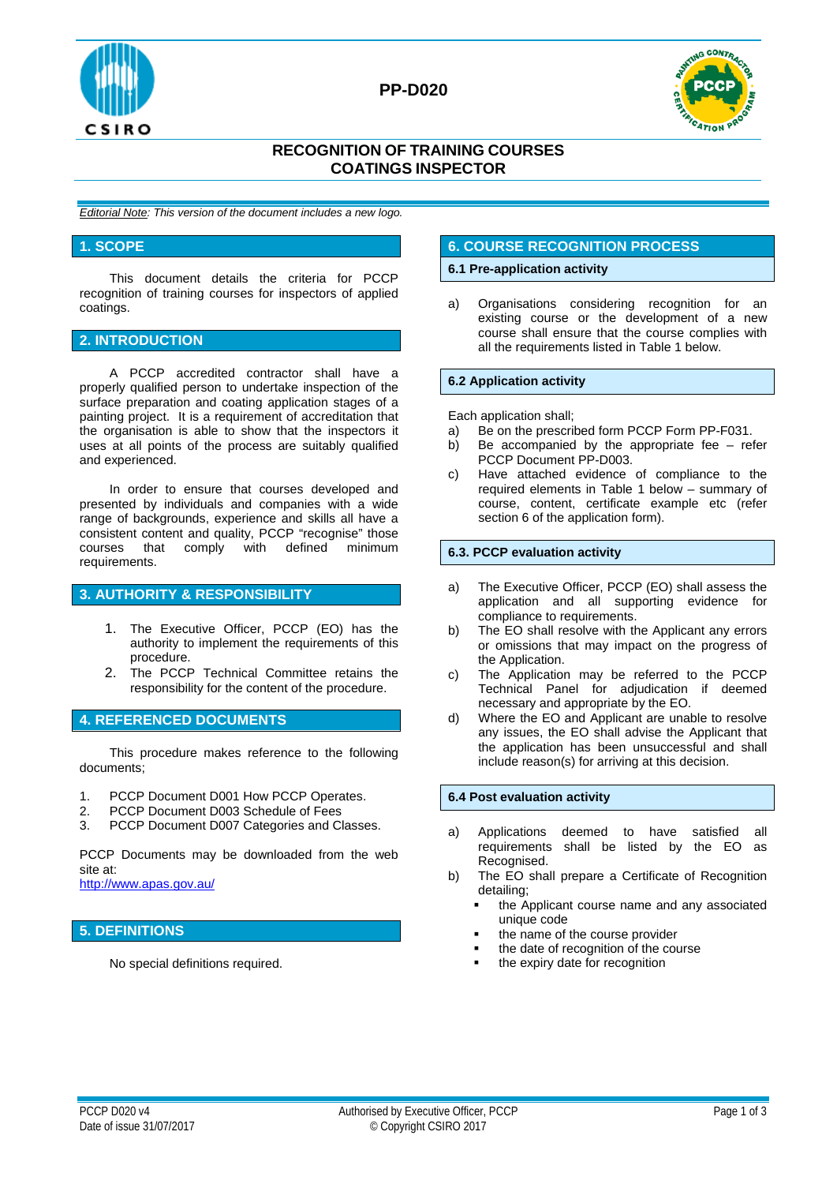

## **PP-D020**



## **RECOGNITION OF TRAINING COURSES COATINGS INSPECTOR**

*Editorial Note: This version of the document includes a new logo.*

### **1. SCOPE**

This document details the criteria for PCCP recognition of training courses for inspectors of applied coatings.

#### **2. INTRODUCTION**

A PCCP accredited contractor shall have a properly qualified person to undertake inspection of the surface preparation and coating application stages of a painting project. It is a requirement of accreditation that the organisation is able to show that the inspectors it uses at all points of the process are suitably qualified and experienced.

In order to ensure that courses developed and presented by individuals and companies with a wide range of backgrounds, experience and skills all have a consistent content and quality, PCCP "recognise" those<br>courses that comply with defined minimum with defined requirements.

#### **3. AUTHORITY & RESPONSIBILITY**

- 1. The Executive Officer, PCCP (EO) has the authority to implement the requirements of this procedure.
- 2. The PCCP Technical Committee retains the responsibility for the content of the procedure.

### **4. REFERENCED DOCUMENTS**

This procedure makes reference to the following documents;

- 1. PCCP Document D001 How PCCP Operates.
- 2. PCCP Document D003 Schedule of Fees
- 3. PCCP Document D007 Categories and Classes.

PCCP Documents may be downloaded from the web site at:

<http://www.apas.gov.au/>

## **5. DEFINITIONS**

No special definitions required.

### **6. COURSE RECOGNITION PROCESS**

#### **6.1 Pre-application activity**

a) Organisations considering recognition for an existing course or the development of a new course shall ensure that the course complies with all the requirements listed in Table 1 below.

#### **6.2 Application activity**

Each application shall;

- a) Be on the prescribed form PCCP Form PP-F031.
- b) Be accompanied by the appropriate fee refer PCCP Document PP-D003.
- c) Have attached evidence of compliance to the required elements in Table 1 below – summary of course, content, certificate example etc (refer section 6 of the application form).

#### **6.3. PCCP evaluation activity**

- a) The Executive Officer, PCCP (EO) shall assess the application and all supporting evidence for compliance to requirements.
- b) The EO shall resolve with the Applicant any errors or omissions that may impact on the progress of the Application.
- c) The Application may be referred to the PCCP Technical Panel for adjudication if deemed necessary and appropriate by the EO.
- d) Where the EO and Applicant are unable to resolve any issues, the EO shall advise the Applicant that the application has been unsuccessful and shall include reason(s) for arriving at this decision.

#### **6.4 Post evaluation activity**

- a) Applications deemed to have satisfied all requirements shall be listed by the EO as Recognised.
- b) The EO shall prepare a Certificate of Recognition detailing;
	- the Applicant course name and any associated unique code
	- the name of the course provider
	- the date of recognition of the course
	- the expiry date for recognition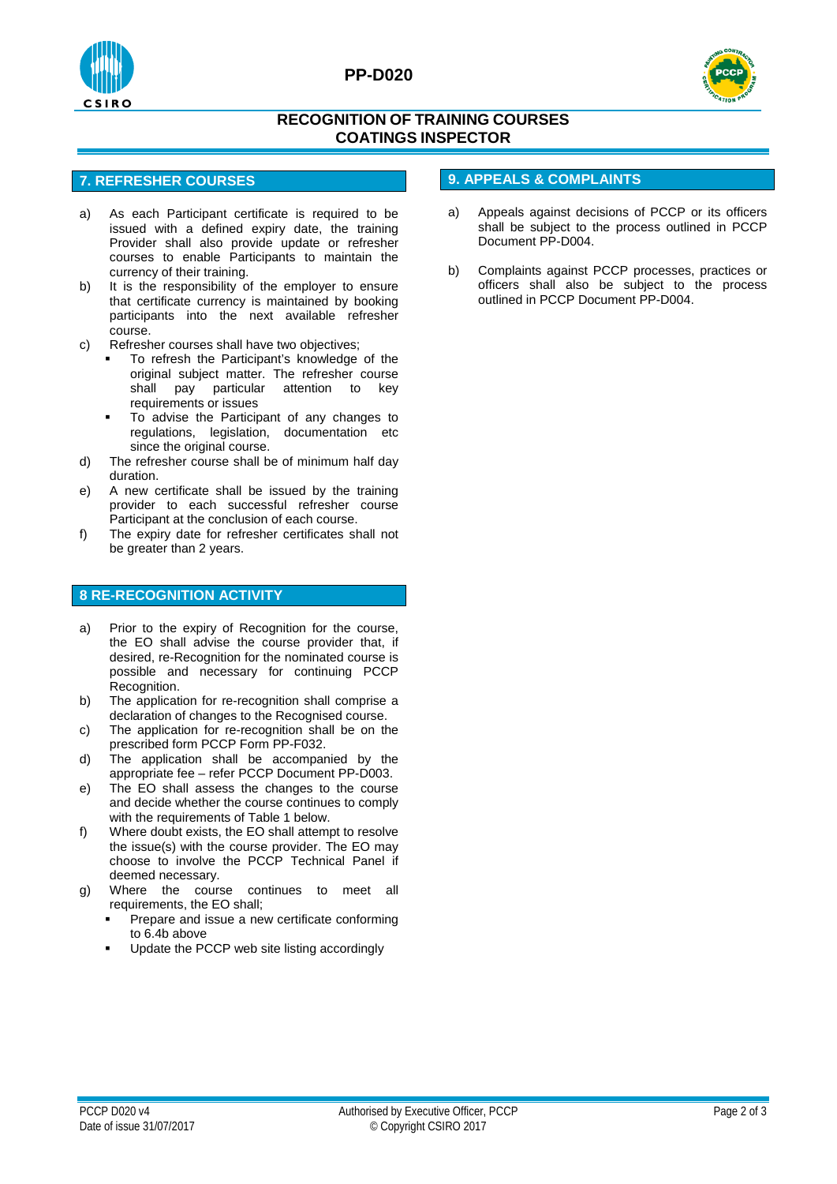





## **RECOGNITION OF TRAINING COURSES COATINGS INSPECTOR**

## **7. REFRESHER COURSES**

- a) As each Participant certificate is required to be issued with a defined expiry date, the training Provider shall also provide update or refresher courses to enable Participants to maintain the currency of their training.
- b) It is the responsibility of the employer to ensure that certificate currency is maintained by booking participants into the next available refresher course.
- c) Refresher courses shall have two objectives;
	- To refresh the Participant's knowledge of the original subject matter. The refresher course shall pay particular attention to key requirements or issues
	- To advise the Participant of any changes to regulations, legislation, documentation etc since the original course.
- d) The refresher course shall be of minimum half day duration.
- e) A new certificate shall be issued by the training provider to each successful refresher course Participant at the conclusion of each course.
- f) The expiry date for refresher certificates shall not be greater than 2 years.

## **8 RE-RECOGNITION ACTIVITY**

- a) Prior to the expiry of Recognition for the course, the EO shall advise the course provider that, if desired, re-Recognition for the nominated course is possible and necessary for continuing PCCP Recognition.
- b) The application for re-recognition shall comprise a declaration of changes to the Recognised course.
- c) The application for re-recognition shall be on the prescribed form PCCP Form PP-F032.
- d) The application shall be accompanied by the appropriate fee – refer PCCP Document PP-D003.
- e) The EO shall assess the changes to the course and decide whether the course continues to comply with the requirements of Table 1 below.
- f) Where doubt exists, the EO shall attempt to resolve the issue(s) with the course provider. The EO may choose to involve the PCCP Technical Panel if deemed necessary.
- g) Where the course continues to meet all requirements, the EO shall;
	- Prepare and issue a new certificate conforming to 6.4b above
	- Update the PCCP web site listing accordingly

## **9. APPEALS & COMPLAINTS**

- a) Appeals against decisions of PCCP or its officers shall be subject to the process outlined in PCCP Document PP-D004.
- b) Complaints against PCCP processes, practices or officers shall also be subject to the process outlined in PCCP Document PP-D004.